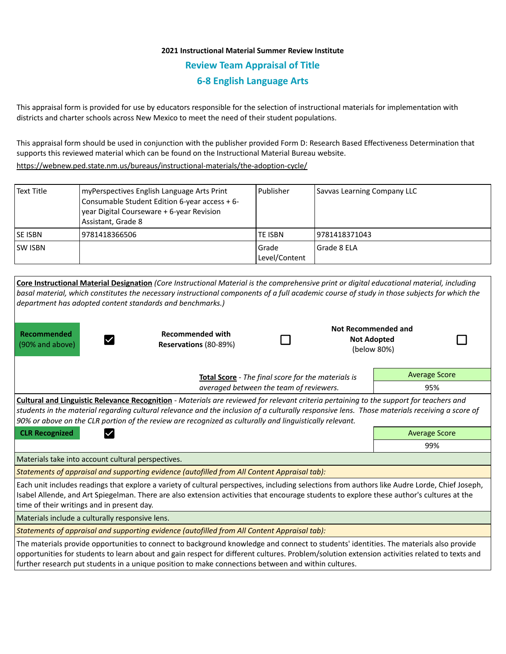## **2021 Instructional Material Summer Review Institute Review Team Appraisal of Title 6-8 English Language Arts**

This appraisal form is provided for use by educators responsible for the selection of instructional materials for implementation with districts and charter schools across New Mexico to meet the need of their student populations.

This appraisal form should be used in conjunction with the publisher provided Form D: Research Based Effectiveness Determination that supports this reviewed material which can be found on the Instructional Material Bureau website.

<https://webnew.ped.state.nm.us/bureaus/instructional-materials/the-adoption-cycle/>

| Text Title | myPerspectives English Language Arts Print<br>Consumable Student Edition 6-year access + 6-<br>year Digital Courseware + 6-year Revision<br>Assistant, Grade 8 | Publisher              | Savvas Learning Company LLC |
|------------|----------------------------------------------------------------------------------------------------------------------------------------------------------------|------------------------|-----------------------------|
| SE ISBN    | 9781418366506                                                                                                                                                  | <b>TE ISBN</b>         | 9781418371043               |
| SW ISBN    |                                                                                                                                                                | Grade<br>Level/Content | l Grade 8 ELA               |

**Core Instructional Material Designation** *(Core Instructional Material is the comprehensive print or digital educational material, including basal material, which constitutes the necessary instructional components of a full academic course of study in those subjects for which the department has adopted content standards and benchmarks.)*

**Recommended**  (90% and above)

 $\vert \checkmark \vert$ 

**Recommended with Reservations** (80-89%)

| <b>Not Recommended and</b> |  |  |  |  |
|----------------------------|--|--|--|--|
| <b>Not Adopted</b>         |  |  |  |  |
| (below 80%)                |  |  |  |  |

|  | - 1 |
|--|-----|
|  |     |

**Total Score** - *The final score for the materials is averaged between the team of reviewers.* Average Score 95%

**Cultural and Linguistic Relevance Recognition** - *Materials are reviewed for relevant criteria pertaining to the support for teachers and students in the material regarding cultural relevance and the inclusion of a culturally responsive lens. Those materials receiving a score of 90% or above on the CLR portion of the review are recognized as culturally and linguistically relevant.*

**CLR Recognized Contract Contract CLR Recognized** Average Score

99%

Materials take into account cultural perspectives.

*Statements of appraisal and supporting evidence (autofilled from All Content Appraisal tab):* 

Each unit includes readings that explore a variety of cultural perspectives, including selections from authors like Audre Lorde, Chief Joseph, Isabel Allende, and Art Spiegelman. There are also extension activities that encourage students to explore these author's cultures at the time of their writings and in present day.

Materials include a culturally responsive lens.

*Statements of appraisal and supporting evidence (autofilled from All Content Appraisal tab):* 

The materials provide opportunities to connect to background knowledge and connect to students' identities. The materials also provide opportunities for students to learn about and gain respect for different cultures. Problem/solution extension activities related to texts and further research put students in a unique position to make connections between and within cultures.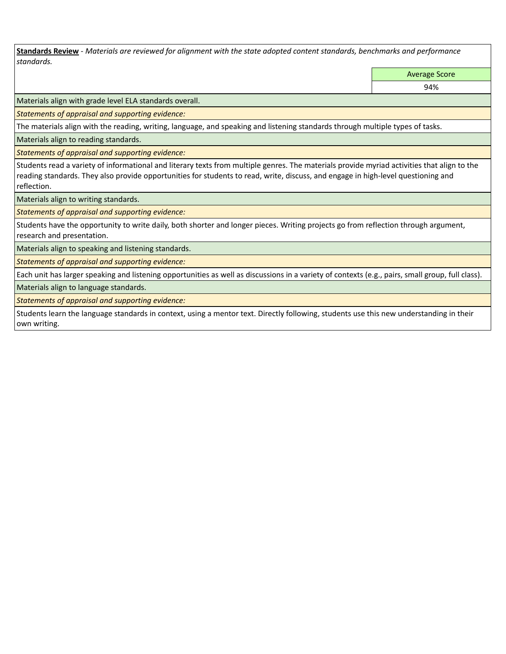**Standards Review** *- Materials are reviewed for alignment with the state adopted content standards, benchmarks and performance standards.*

Average Score

94%

Materials align with grade level ELA standards overall.

*Statements of appraisal and supporting evidence:* 

The materials align with the reading, writing, language, and speaking and listening standards through multiple types of tasks.

Materials align to reading standards.

*Statements of appraisal and supporting evidence:* 

Students read a variety of informational and literary texts from multiple genres. The materials provide myriad activities that align to the reading standards. They also provide opportunities for students to read, write, discuss, and engage in high-level questioning and reflection.

Materials align to writing standards.

*Statements of appraisal and supporting evidence:* 

Students have the opportunity to write daily, both shorter and longer pieces. Writing projects go from reflection through argument, research and presentation.

Materials align to speaking and listening standards.

*Statements of appraisal and supporting evidence:* 

Each unit has larger speaking and listening opportunities as well as discussions in a variety of contexts (e.g., pairs, small group, full class).

Materials align to language standards.

*Statements of appraisal and supporting evidence:* 

Students learn the language standards in context, using a mentor text. Directly following, students use this new understanding in their own writing.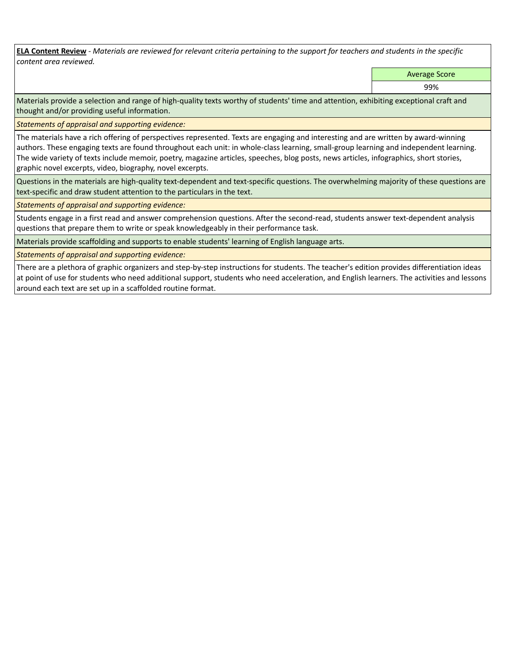**ELA Content Review** *- Materials are reviewed for relevant criteria pertaining to the support for teachers and students in the specific content area reviewed.*

Average Score

99%

Materials provide a selection and range of high-quality texts worthy of students' time and attention, exhibiting exceptional craft and thought and/or providing useful information.

*Statements of appraisal and supporting evidence:* 

The materials have a rich offering of perspectives represented. Texts are engaging and interesting and are written by award-winning authors. These engaging texts are found throughout each unit: in whole-class learning, small-group learning and independent learning. The wide variety of texts include memoir, poetry, magazine articles, speeches, blog posts, news articles, infographics, short stories, graphic novel excerpts, video, biography, novel excerpts.

Questions in the materials are high-quality text-dependent and text-specific questions. The overwhelming majority of these questions are text-specific and draw student attention to the particulars in the text.

*Statements of appraisal and supporting evidence:* 

Students engage in a first read and answer comprehension questions. After the second-read, students answer text-dependent analysis questions that prepare them to write or speak knowledgeably in their performance task.

Materials provide scaffolding and supports to enable students' learning of English language arts.

*Statements of appraisal and supporting evidence:* 

There are a plethora of graphic organizers and step-by-step instructions for students. The teacher's edition provides differentiation ideas at point of use for students who need additional support, students who need acceleration, and English learners. The activities and lessons around each text are set up in a scaffolded routine format.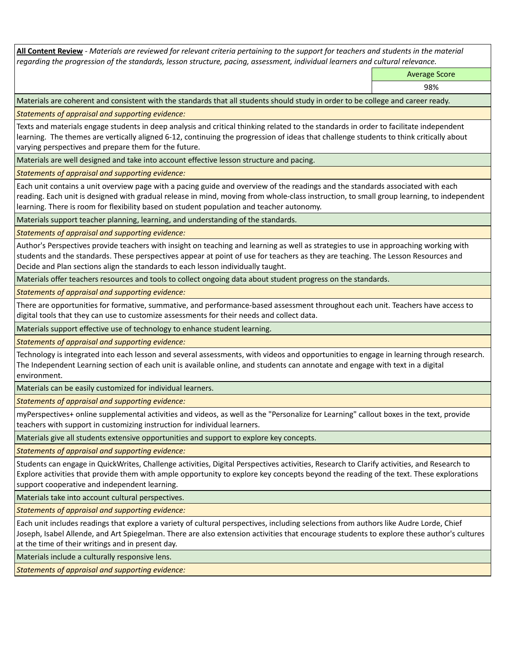**All Content Review** *- Materials are reviewed for relevant criteria pertaining to the support for teachers and students in the material regarding the progression of the standards, lesson structure, pacing, assessment, individual learners and cultural relevance.*

Average Score

98%

Materials are coherent and consistent with the standards that all students should study in order to be college and career ready.

*Statements of appraisal and supporting evidence:*

Texts and materials engage students in deep analysis and critical thinking related to the standards in order to facilitate independent learning. The themes are vertically aligned 6-12, continuing the progression of ideas that challenge students to think critically about varying perspectives and prepare them for the future.

Materials are well designed and take into account effective lesson structure and pacing.

*Statements of appraisal and supporting evidence:*

Each unit contains a unit overview page with a pacing guide and overview of the readings and the standards associated with each reading. Each unit is designed with gradual release in mind, moving from whole-class instruction, to small group learning, to independent learning. There is room for flexibility based on student population and teacher autonomy.

Materials support teacher planning, learning, and understanding of the standards.

*Statements of appraisal and supporting evidence:*

Author's Perspectives provide teachers with insight on teaching and learning as well as strategies to use in approaching working with students and the standards. These perspectives appear at point of use for teachers as they are teaching. The Lesson Resources and Decide and Plan sections align the standards to each lesson individually taught.

Materials offer teachers resources and tools to collect ongoing data about student progress on the standards.

*Statements of appraisal and supporting evidence:*

There are opportunities for formative, summative, and performance-based assessment throughout each unit. Teachers have access to digital tools that they can use to customize assessments for their needs and collect data.

Materials support effective use of technology to enhance student learning.

*Statements of appraisal and supporting evidence:*

Technology is integrated into each lesson and several assessments, with videos and opportunities to engage in learning through research. The Independent Learning section of each unit is available online, and students can annotate and engage with text in a digital environment.

Materials can be easily customized for individual learners.

*Statements of appraisal and supporting evidence:* 

myPerspectives+ online supplemental activities and videos, as well as the "Personalize for Learning" callout boxes in the text, provide teachers with support in customizing instruction for individual learners.

Materials give all students extensive opportunities and support to explore key concepts.

*Statements of appraisal and supporting evidence:*

Students can engage in QuickWrites, Challenge activities, Digital Perspectives activities, Research to Clarify activities, and Research to Explore activities that provide them with ample opportunity to explore key concepts beyond the reading of the text. These explorations support cooperative and independent learning.

Materials take into account cultural perspectives.

*Statements of appraisal and supporting evidence:*

Each unit includes readings that explore a variety of cultural perspectives, including selections from authors like Audre Lorde, Chief Joseph, Isabel Allende, and Art Spiegelman. There are also extension activities that encourage students to explore these author's cultures at the time of their writings and in present day.

Materials include a culturally responsive lens.

*Statements of appraisal and supporting evidence:*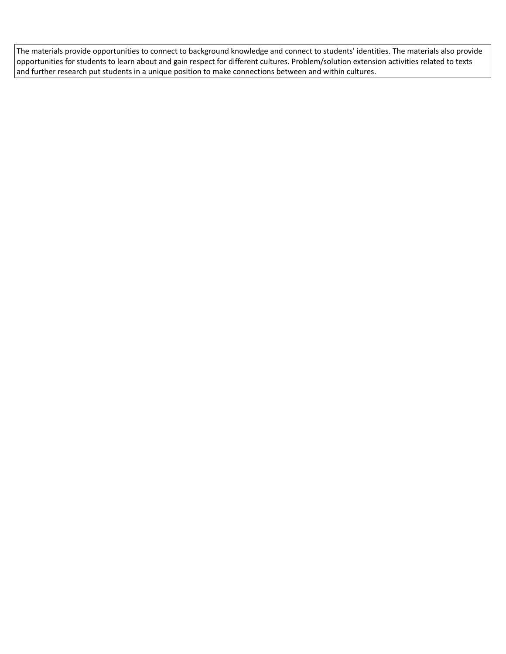The materials provide opportunities to connect to background knowledge and connect to students' identities. The materials also provide opportunities for students to learn about and gain respect for different cultures. Problem/solution extension activities related to texts and further research put students in a unique position to make connections between and within cultures.